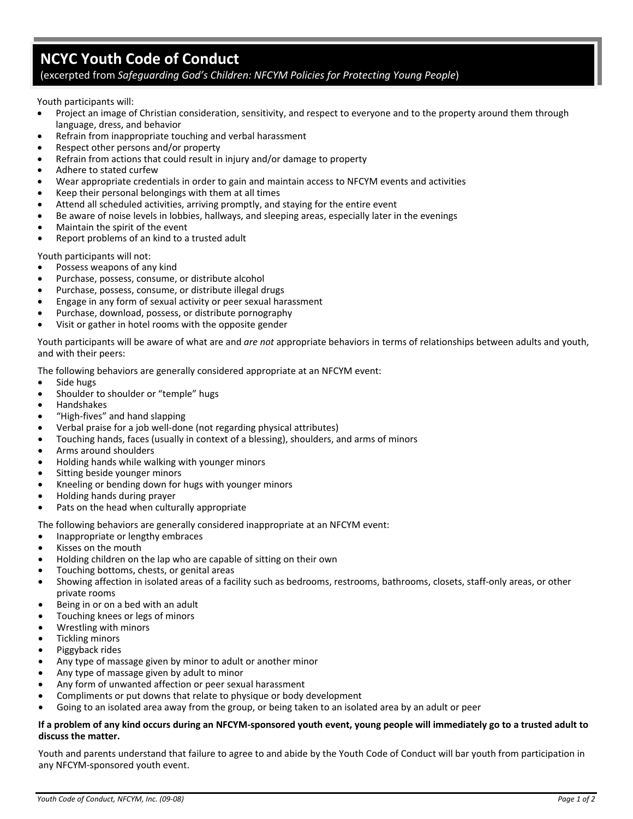## **NCYC Youth Code of Conduct**

## (excerpted from *Safeguarding God's Children: NFCYM Policies for Protecting Young People*)

Youth participants will:

- Project an image of Christian consideration, sensitivity, and respect to everyone and to the property around them through language, dress, and behavior
- Refrain from inappropriate touching and verbal harassment
- Respect other persons and/or property
- Refrain from actions that could result in injury and/or damage to property
- Adhere to stated curfew
- Wear appropriate credentials in order to gain and maintain access to NFCYM events and activities
- Keep their personal belongings with them at all times
- Attend all scheduled activities, arriving promptly, and staying for the entire event
- Be aware of noise levels in lobbies, hallways, and sleeping areas, especially later in the evenings
- Maintain the spirit of the event
- Report problems of an kind to a trusted adult

Youth participants will not:

- Possess weapons of any kind
- Purchase, possess, consume, or distribute alcohol
- Purchase, possess, consume, or distribute illegal drugs
- Engage in any form of sexual activity or peer sexual harassment
- Purchase, download, possess, or distribute pornography
- Visit or gather in hotel rooms with the opposite gender

Youth participants will be aware of what are and *are not* appropriate behaviors in terms of relationships between adults and youth, and with their peers:

The following behaviors are generally considered appropriate at an NFCYM event:

- Side hugs
- Shoulder to shoulder or "temple" hugs
- Handshakes
- "High‐fives" and hand slapping
- Verbal praise for a job well‐done (not regarding physical attributes)
- Touching hands, faces (usually in context of a blessing), shoulders, and arms of minors
- Arms around shoulders
- Holding hands while walking with younger minors
- Sitting beside younger minors
- Kneeling or bending down for hugs with younger minors
- Holding hands during prayer
- Pats on the head when culturally appropriate

The following behaviors are generally considered inappropriate at an NFCYM event:

- Inappropriate or lengthy embraces
- Kisses on the mouth
- Holding children on the lap who are capable of sitting on their own
- Touching bottoms, chests, or genital areas
- Showing affection in isolated areas of a facility such as bedrooms, restrooms, bathrooms, closets, staff‐only areas, or other private rooms
- Being in or on a bed with an adult
- Touching knees or legs of minors
- Wrestling with minors
- Tickling minors
- Piggyback rides
- Any type of massage given by minor to adult or another minor
- Any type of massage given by adult to minor
- Any form of unwanted affection or peer sexual harassment
- Compliments or put downs that relate to physique or body development
- Going to an isolated area away from the group, or being taken to an isolated area by an adult or peer

## If a problem of any kind occurs during an NFCYM-sponsored youth event, young people will immediately go to a trusted adult to **discuss the matter.**

Youth and parents understand that failure to agree to and abide by the Youth Code of Conduct will bar youth from participation in any NFCYM‐sponsored youth event.